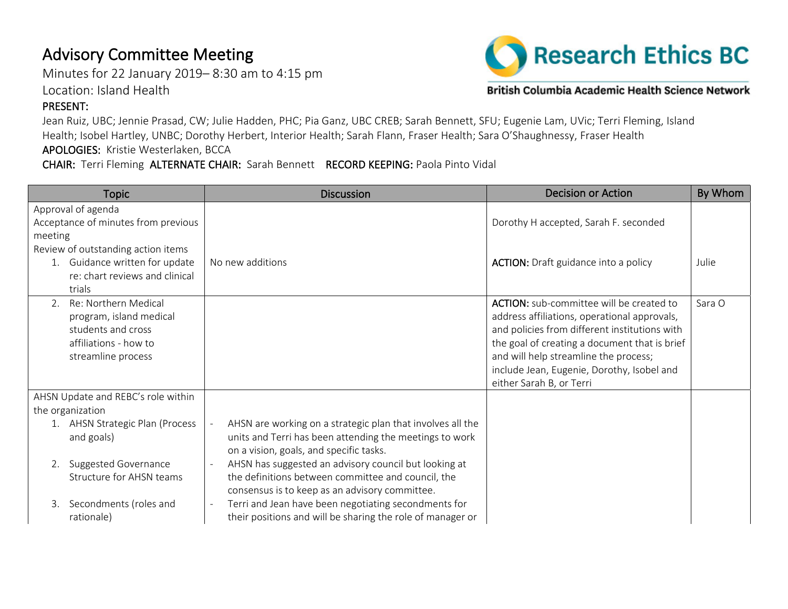## Advisory Committee Meeting

Minutes for 22 January 2019– 8:30 am to 4:15 pm

Location: Island Health

## PRESENT:

**Research Ethics BC** 

British Columbia Academic Health Science Network

Jean Ruiz, UBC; Jennie Prasad, CW; Julie Hadden, PHC; Pia Ganz, UBC CREB; Sarah Bennett, SFU; Eugenie Lam, UVic; Terri Fleming, Island Health; Isobel Hartley, UNBC; Dorothy Herbert, Interior Health; Sarah Flann, Fraser Health; Sara O'Shaughnessy, Fraser Health APOLOGIES: Kristie Westerlaken, BCCA

CHAIR: Terri Fleming ALTERNATE CHAIR: Sarah Bennett RECORD KEEPING: Paola Pinto Vidal

| <b>Topic</b>                        | <b>Discussion</b>                                          | <b>Decision or Action</b>                       | By Whom |
|-------------------------------------|------------------------------------------------------------|-------------------------------------------------|---------|
| Approval of agenda                  |                                                            |                                                 |         |
| Acceptance of minutes from previous |                                                            | Dorothy H accepted, Sarah F. seconded           |         |
| meeting                             |                                                            |                                                 |         |
| Review of outstanding action items  |                                                            |                                                 |         |
| 1. Guidance written for update      | No new additions                                           | <b>ACTION:</b> Draft guidance into a policy     | Julie   |
| re: chart reviews and clinical      |                                                            |                                                 |         |
| trials                              |                                                            |                                                 |         |
| Re: Northern Medical                |                                                            | <b>ACTION:</b> sub-committee will be created to | Sara O  |
| program, island medical             |                                                            | address affiliations, operational approvals,    |         |
| students and cross                  |                                                            | and policies from different institutions with   |         |
| affiliations - how to               |                                                            | the goal of creating a document that is brief   |         |
| streamline process                  |                                                            | and will help streamline the process;           |         |
|                                     |                                                            | include Jean, Eugenie, Dorothy, Isobel and      |         |
|                                     |                                                            | either Sarah B, or Terri                        |         |
| AHSN Update and REBC's role within  |                                                            |                                                 |         |
| the organization                    |                                                            |                                                 |         |
| 1. AHSN Strategic Plan (Process     | AHSN are working on a strategic plan that involves all the |                                                 |         |
| and goals)                          | units and Terri has been attending the meetings to work    |                                                 |         |
|                                     | on a vision, goals, and specific tasks.                    |                                                 |         |
| 2. Suggested Governance             | AHSN has suggested an advisory council but looking at      |                                                 |         |
| Structure for AHSN teams            | the definitions between committee and council, the         |                                                 |         |
|                                     | consensus is to keep as an advisory committee.             |                                                 |         |
| Secondments (roles and<br>3.        | Terri and Jean have been negotiating secondments for       |                                                 |         |
| rationale)                          | their positions and will be sharing the role of manager or |                                                 |         |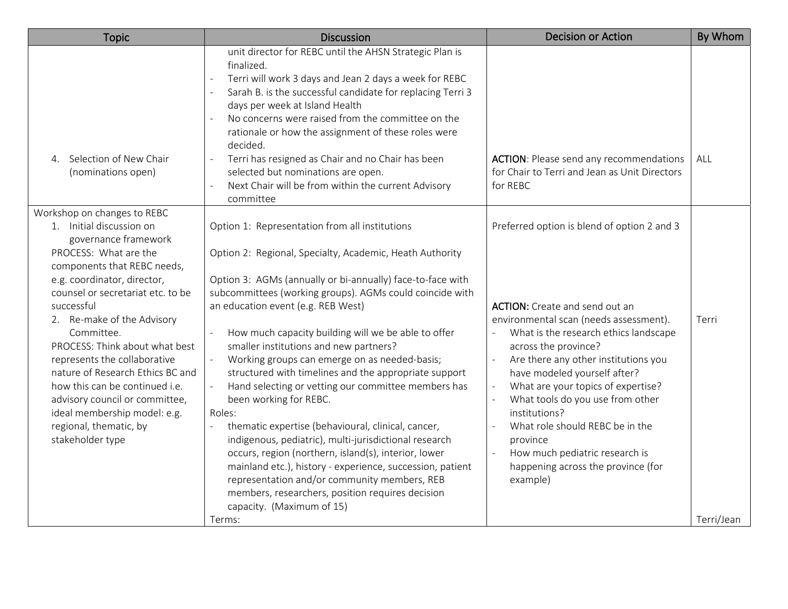| <b>Topic</b>                                                                                                                                                                                                                                                                                                                                                                                                      | <b>Discussion</b>                                                                                                                                                                                                                                                                                                                                                                                                                                                                                                                                                                                                                                                                                                                                                                                                                                                                                                                                                  | <b>Decision or Action</b>                                                                                                                                                                                                                                                                                                                                                                                                                                                                                                          | By Whom    |
|-------------------------------------------------------------------------------------------------------------------------------------------------------------------------------------------------------------------------------------------------------------------------------------------------------------------------------------------------------------------------------------------------------------------|--------------------------------------------------------------------------------------------------------------------------------------------------------------------------------------------------------------------------------------------------------------------------------------------------------------------------------------------------------------------------------------------------------------------------------------------------------------------------------------------------------------------------------------------------------------------------------------------------------------------------------------------------------------------------------------------------------------------------------------------------------------------------------------------------------------------------------------------------------------------------------------------------------------------------------------------------------------------|------------------------------------------------------------------------------------------------------------------------------------------------------------------------------------------------------------------------------------------------------------------------------------------------------------------------------------------------------------------------------------------------------------------------------------------------------------------------------------------------------------------------------------|------------|
| Selection of New Chair<br>$4_{\cdot}$<br>(nominations open)                                                                                                                                                                                                                                                                                                                                                       | unit director for REBC until the AHSN Strategic Plan is<br>finalized.<br>Terri will work 3 days and Jean 2 days a week for REBC<br>Sarah B. is the successful candidate for replacing Terri 3<br>days per week at Island Health<br>No concerns were raised from the committee on the<br>rationale or how the assignment of these roles were<br>decided.<br>Terri has resigned as Chair and no Chair has been<br>$\mathbb{Z}$<br>selected but nominations are open.<br>Next Chair will be from within the current Advisory<br>$\sim$<br>committee                                                                                                                                                                                                                                                                                                                                                                                                                   | <b>ACTION:</b> Please send any recommendations<br>for Chair to Terri and Jean as Unit Directors<br>for REBC                                                                                                                                                                                                                                                                                                                                                                                                                        | ALL        |
| Workshop on changes to REBC<br>1. Initial discussion on<br>governance framework<br>PROCESS: What are the                                                                                                                                                                                                                                                                                                          | Option 1: Representation from all institutions                                                                                                                                                                                                                                                                                                                                                                                                                                                                                                                                                                                                                                                                                                                                                                                                                                                                                                                     | Preferred option is blend of option 2 and 3                                                                                                                                                                                                                                                                                                                                                                                                                                                                                        |            |
| components that REBC needs,<br>e.g. coordinator, director,<br>counsel or secretariat etc. to be<br>successful<br>2. Re-make of the Advisory<br>Committee.<br>PROCESS: Think about what best<br>represents the collaborative<br>nature of Research Ethics BC and<br>how this can be continued i.e.<br>advisory council or committee,<br>ideal membership model: e.g.<br>regional, thematic, by<br>stakeholder type | Option 2: Regional, Specialty, Academic, Heath Authority<br>Option 3: AGMs (annually or bi-annually) face-to-face with<br>subcommittees (working groups). AGMs could coincide with<br>an education event (e.g. REB West)<br>How much capacity building will we be able to offer<br>smaller institutions and new partners?<br>Working groups can emerge on as needed-basis;<br>$\omega$<br>structured with timelines and the appropriate support<br>Hand selecting or vetting our committee members has<br>$\overline{\phantom{a}}$<br>been working for REBC.<br>Roles:<br>thematic expertise (behavioural, clinical, cancer,<br>$\bar{\phantom{a}}$<br>indigenous, pediatric), multi-jurisdictional research<br>occurs, region (northern, island(s), interior, lower<br>mainland etc.), history - experience, succession, patient<br>representation and/or community members, REB<br>members, researchers, position requires decision<br>capacity. (Maximum of 15) | <b>ACTION:</b> Create and send out an<br>environmental scan (needs assessment).<br>What is the research ethics landscape<br>across the province?<br>Are there any other institutions you<br>$\omega$<br>have modeled yourself after?<br>What are your topics of expertise?<br>$\overline{\phantom{a}}$<br>What tools do you use from other<br>$\omega$<br>institutions?<br>What role should REBC be in the<br>$\equiv$<br>province<br>How much pediatric research is<br>$\omega$<br>happening across the province (for<br>example) | Terri      |
|                                                                                                                                                                                                                                                                                                                                                                                                                   | Terms:                                                                                                                                                                                                                                                                                                                                                                                                                                                                                                                                                                                                                                                                                                                                                                                                                                                                                                                                                             |                                                                                                                                                                                                                                                                                                                                                                                                                                                                                                                                    | Terri/Jean |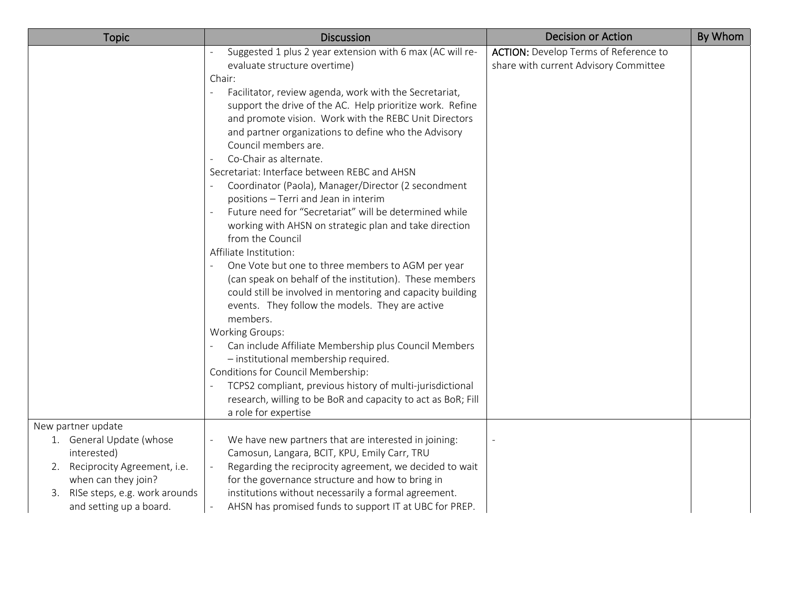| <b>Topic</b>                     | <b>Discussion</b>                                                          | <b>Decision or Action</b>                    | By Whom |
|----------------------------------|----------------------------------------------------------------------------|----------------------------------------------|---------|
|                                  | Suggested 1 plus 2 year extension with 6 max (AC will re-                  | <b>ACTION:</b> Develop Terms of Reference to |         |
|                                  | evaluate structure overtime)                                               | share with current Advisory Committee        |         |
|                                  | Chair:                                                                     |                                              |         |
|                                  | Facilitator, review agenda, work with the Secretariat,                     |                                              |         |
|                                  | support the drive of the AC. Help prioritize work. Refine                  |                                              |         |
|                                  | and promote vision. Work with the REBC Unit Directors                      |                                              |         |
|                                  | and partner organizations to define who the Advisory                       |                                              |         |
|                                  | Council members are.                                                       |                                              |         |
|                                  | Co-Chair as alternate.                                                     |                                              |         |
|                                  | Secretariat: Interface between REBC and AHSN                               |                                              |         |
|                                  | Coordinator (Paola), Manager/Director (2 secondment                        |                                              |         |
|                                  | positions - Terri and Jean in interim                                      |                                              |         |
|                                  | Future need for "Secretariat" will be determined while                     |                                              |         |
|                                  | working with AHSN on strategic plan and take direction<br>from the Council |                                              |         |
|                                  | Affiliate Institution:                                                     |                                              |         |
|                                  | One Vote but one to three members to AGM per year                          |                                              |         |
|                                  | (can speak on behalf of the institution). These members                    |                                              |         |
|                                  | could still be involved in mentoring and capacity building                 |                                              |         |
|                                  | events. They follow the models. They are active                            |                                              |         |
|                                  | members.                                                                   |                                              |         |
|                                  | <b>Working Groups:</b>                                                     |                                              |         |
|                                  | Can include Affiliate Membership plus Council Members                      |                                              |         |
|                                  | - institutional membership required.                                       |                                              |         |
|                                  | Conditions for Council Membership:                                         |                                              |         |
|                                  | TCPS2 compliant, previous history of multi-jurisdictional                  |                                              |         |
|                                  | research, willing to be BoR and capacity to act as BoR; Fill               |                                              |         |
|                                  | a role for expertise                                                       |                                              |         |
| New partner update               |                                                                            |                                              |         |
| 1. General Update (whose         | We have new partners that are interested in joining:                       |                                              |         |
| interested)                      | Camosun, Langara, BCIT, KPU, Emily Carr, TRU                               |                                              |         |
| 2. Reciprocity Agreement, i.e.   | Regarding the reciprocity agreement, we decided to wait                    |                                              |         |
| when can they join?              | for the governance structure and how to bring in                           |                                              |         |
| 3. RISe steps, e.g. work arounds | institutions without necessarily a formal agreement.                       |                                              |         |
| and setting up a board.          | AHSN has promised funds to support IT at UBC for PREP.                     |                                              |         |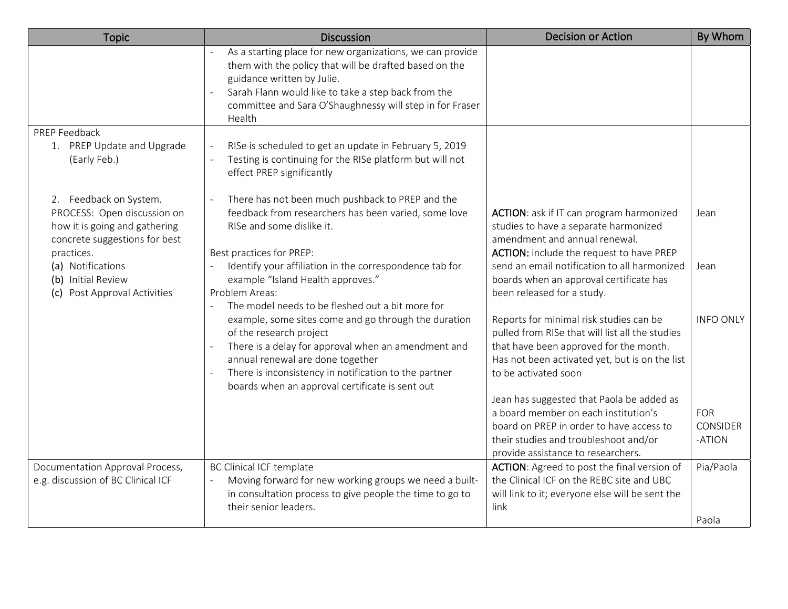| <b>Topic</b>                                                                                                                          | <b>Discussion</b>                                                                                                                                                                                                                                                                      | <b>Decision or Action</b>                                                                                                                                                                                      | By Whom                                 |
|---------------------------------------------------------------------------------------------------------------------------------------|----------------------------------------------------------------------------------------------------------------------------------------------------------------------------------------------------------------------------------------------------------------------------------------|----------------------------------------------------------------------------------------------------------------------------------------------------------------------------------------------------------------|-----------------------------------------|
|                                                                                                                                       | As a starting place for new organizations, we can provide<br>them with the policy that will be drafted based on the<br>guidance written by Julie.<br>Sarah Flann would like to take a step back from the<br>committee and Sara O'Shaughnessy will step in for Fraser<br>Health         |                                                                                                                                                                                                                |                                         |
| PREP Feedback                                                                                                                         |                                                                                                                                                                                                                                                                                        |                                                                                                                                                                                                                |                                         |
| 1. PREP Update and Upgrade<br>(Early Feb.)                                                                                            | RISe is scheduled to get an update in February 5, 2019<br>Testing is continuing for the RISe platform but will not<br>effect PREP significantly                                                                                                                                        |                                                                                                                                                                                                                |                                         |
| 2. Feedback on System.<br>PROCESS: Open discussion on<br>how it is going and gathering<br>concrete suggestions for best<br>practices. | There has not been much pushback to PREP and the<br>feedback from researchers has been varied, some love<br>RISe and some dislike it.<br>Best practices for PREP:                                                                                                                      | ACTION: ask if IT can program harmonized<br>studies to have a separate harmonized<br>amendment and annual renewal.<br>ACTION: include the request to have PREP                                                 | Jean                                    |
| (a) Notifications<br>(b) Initial Review<br>(c) Post Approval Activities                                                               | Identify your affiliation in the correspondence tab for<br>example "Island Health approves."<br>Problem Areas:<br>The model needs to be fleshed out a bit more for                                                                                                                     | send an email notification to all harmonized<br>boards when an approval certificate has<br>been released for a study.                                                                                          | Jean                                    |
|                                                                                                                                       | example, some sites come and go through the duration<br>of the research project<br>There is a delay for approval when an amendment and<br>annual renewal are done together<br>There is inconsistency in notification to the partner<br>boards when an approval certificate is sent out | Reports for minimal risk studies can be<br>pulled from RISe that will list all the studies<br>that have been approved for the month.<br>Has not been activated yet, but is on the list<br>to be activated soon | <b>INFO ONLY</b>                        |
|                                                                                                                                       |                                                                                                                                                                                                                                                                                        | Jean has suggested that Paola be added as<br>a board member on each institution's<br>board on PREP in order to have access to<br>their studies and troubleshoot and/or                                         | <b>FOR</b><br><b>CONSIDER</b><br>-ATION |
|                                                                                                                                       |                                                                                                                                                                                                                                                                                        | provide assistance to researchers.                                                                                                                                                                             |                                         |
| Documentation Approval Process,<br>e.g. discussion of BC Clinical ICF                                                                 | <b>BC Clinical ICF template</b><br>Moving forward for new working groups we need a built-<br>in consultation process to give people the time to go to<br>their senior leaders.                                                                                                         | ACTION: Agreed to post the final version of<br>the Clinical ICF on the REBC site and UBC<br>will link to it; everyone else will be sent the<br>link                                                            | Pia/Paola                               |
|                                                                                                                                       |                                                                                                                                                                                                                                                                                        |                                                                                                                                                                                                                | Paola                                   |